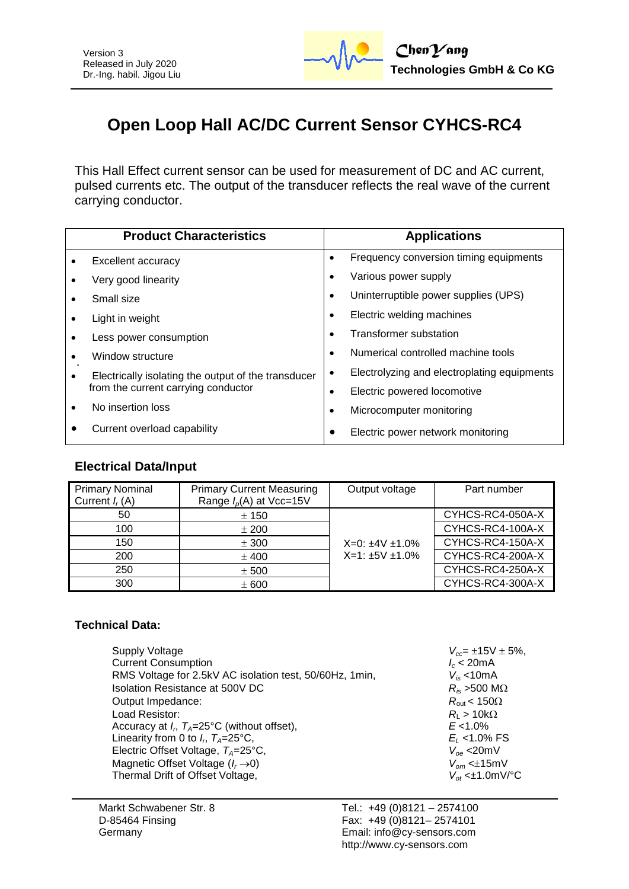

# **Open Loop Hall AC/DC Current Sensor CYHCS-RC4**

This Hall Effect current sensor can be used for measurement of DC and AC current, pulsed currents etc. The output of the transducer reflects the real wave of the current carrying conductor.

| <b>Product Characteristics</b> |                                                                                            | <b>Applications</b>                         |  |
|--------------------------------|--------------------------------------------------------------------------------------------|---------------------------------------------|--|
|                                | Excellent accuracy                                                                         | Frequency conversion timing equipments<br>٠ |  |
|                                | Very good linearity                                                                        | Various power supply                        |  |
|                                | Small size                                                                                 | Uninterruptible power supplies (UPS)<br>٠   |  |
|                                | Light in weight                                                                            | Electric welding machines                   |  |
|                                | Less power consumption                                                                     | <b>Transformer substation</b>               |  |
|                                | Window structure                                                                           | Numerical controlled machine tools<br>٠     |  |
|                                | Electrically isolating the output of the transducer<br>from the current carrying conductor | Electrolyzing and electroplating equipments |  |
|                                |                                                                                            | Electric powered locomotive                 |  |
|                                | No insertion loss                                                                          | Microcomputer monitoring<br>$\bullet$       |  |
|                                | Current overload capability                                                                | Electric power network monitoring           |  |

### **Electrical Data/Input**

| <b>Primary Nominal</b><br>Current $I_r(A)$ | <b>Primary Current Measuring</b><br>Range $I_p(A)$ at Vcc=15V | Output voltage               | Part number      |
|--------------------------------------------|---------------------------------------------------------------|------------------------------|------------------|
| 50                                         | ± 150                                                         |                              | CYHCS-RC4-050A-X |
| 100                                        | ± 200                                                         |                              | CYHCS-RC4-100A-X |
| 150                                        | ± 300                                                         | $X=0$ : $\pm 4V$ $\pm 1.0\%$ | CYHCS-RC4-150A-X |
| 200                                        | $±$ 400                                                       | $X=1: \pm 5V \pm 1.0\%$      | CYHCS-RC4-200A-X |
| 250                                        | ± 500                                                         |                              | CYHCS-RC4-250A-X |
| 300                                        | ± 600                                                         |                              | CYHCS-RC4-300A-X |

#### **Technical Data:**

| <b>Supply Voltage</b><br><b>Current Consumption</b>     | $V_{cc}$ = ±15V ± 5%,<br>$I_c < 20$ mA |
|---------------------------------------------------------|----------------------------------------|
| RMS Voltage for 2.5kV AC isolation test, 50/60Hz, 1min, | $V_{is}$ <10mA                         |
| Isolation Resistance at 500V DC                         | $R_{is}$ >500 M $\Omega$               |
| Output Impedance:                                       | $R_{\text{out}}$ < 150 $\Omega$        |
| Load Resistor:                                          | $R_{\rm l} > 10 {\rm k}\Omega$         |
| Accuracy at $I_r$ , $T_A=25^{\circ}C$ (without offset), | $E < 1.0\%$                            |
| Linearity from 0 to $I_r$ , $T_A=25^{\circ}C$ ,         | $E_1$ <1.0% FS                         |
| Electric Offset Voltage, $T_A = 25^{\circ}C$ ,          | $V_{oe}$ <20mV                         |
| Magnetic Offset Voltage $(I_r \rightarrow 0)$           | $V_{\alpha m}$ < $\pm$ 15mV            |
| Thermal Drift of Offset Voltage,                        | $V_{\alpha t}$ < $\pm$ 1.0mV/°C        |

Markt Schwabener Str. 8 D-85464 Finsing **Germany**